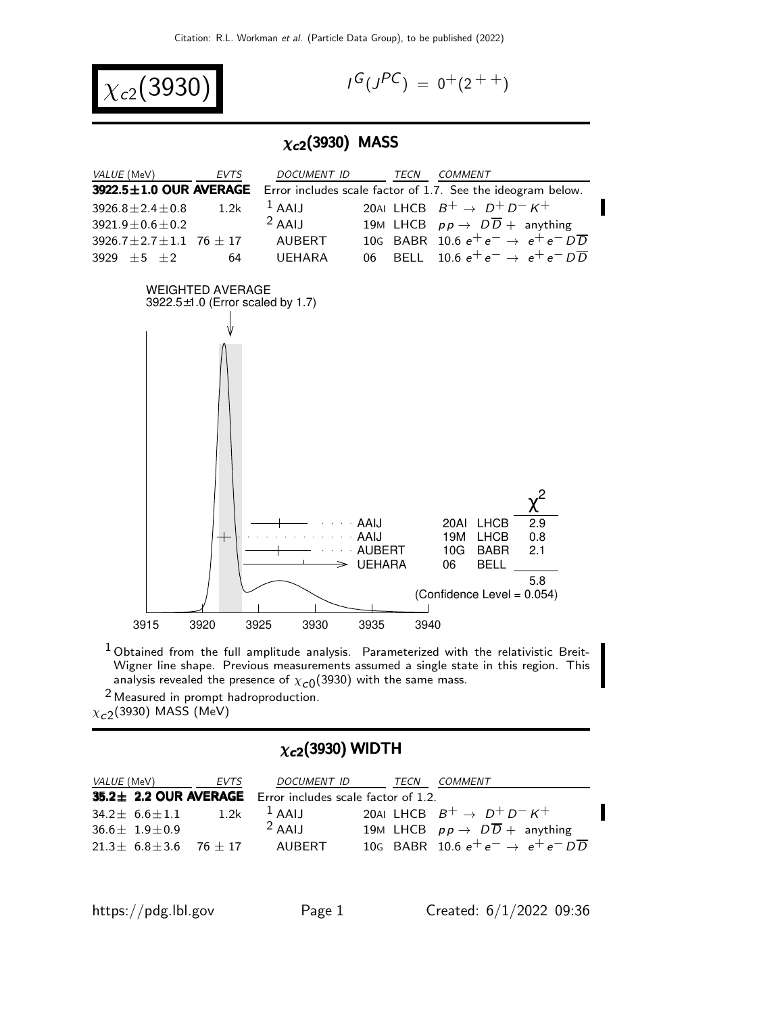

$$
I^G(J^{PC}) = 0^+(2^{++})
$$

#### $\chi_{c2}(3930)$  MASS



 $1$  Obtained from the full amplitude analysis. Parameterized with the relativistic Breit-Wigner line shape. Previous measurements assumed a single state in this region. This analysis revealed the presence of  $\chi_{\mathcal{C} 0}(3930)$  with the same mass.

2 Measured in prompt hadroproduction.  $\chi_{c2}^{\phantom{\dag}}$ (3930) MASS (MeV)

### $\chi_{c2}$ (3930) WIDTH

| <i>VALUE</i> (MeV) |                                    | EVTS | <i>DOCUMENT ID</i>                                        | TECN | COMMENT                                                |
|--------------------|------------------------------------|------|-----------------------------------------------------------|------|--------------------------------------------------------|
|                    |                                    |      | 35.2± 2.2 OUR AVERAGE Error includes scale factor of 1.2. |      |                                                        |
|                    | $34.2 \pm 6.6 \pm 1.1$             | 1.2k | $^1$ AAIJ                                                 |      | 20ALLHCB $B^+ \rightarrow D^+D^-K^+$                   |
|                    | $36.6 + 1.9 + 0.9$                 |      | $2$ AAIJ                                                  |      | 19M LHCB $pp \rightarrow D\overline{D}$ + anything     |
|                    | $21.3 \pm 6.8 \pm 3.6$ 76 $\pm$ 17 |      | AUBERT                                                    |      | 10G BABR 10.6 $e^+e^- \rightarrow e^+e^-D\overline{D}$ |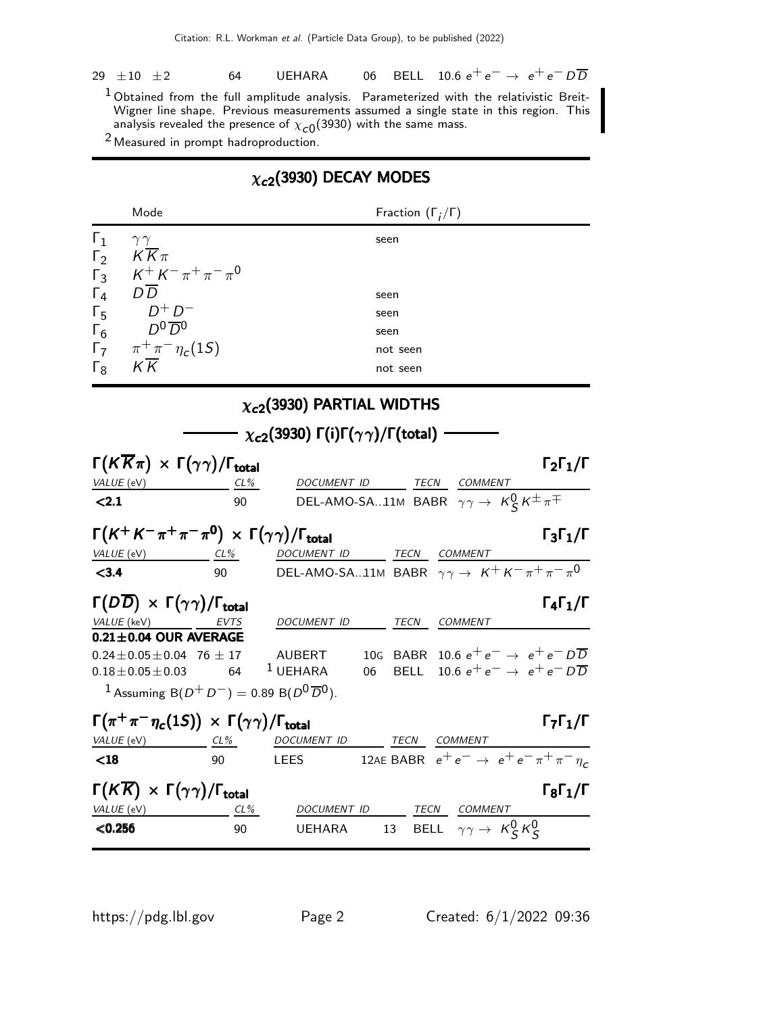|  | 29 $\pm 10$ $\pm 2$ |  |  |  |  |  | 64 UEHARA 06 BELL 10.6 $e^+e^- \rightarrow e^+e^- D\overline{D}$ |  |
|--|---------------------|--|--|--|--|--|------------------------------------------------------------------|--|
|--|---------------------|--|--|--|--|--|------------------------------------------------------------------|--|

 $^1$ Obtained from the full amplitude analysis. Parameterized with the relativistic Breit-Wigner line shape. Previous measurements assumed a single state in this region. This analysis revealed the presence of  $\chi_{\mathcal{C} \mathsf{0}}(3930)$  with the same mass.

2 Measured in prompt hadroproduction.

## $\chi_{c2}$ (3930) DECAY MODES

| Mode                                                                                                              |           |                                                                          |      | Fraction $(\Gamma_i/\Gamma)$ |                                                                                    |                              |
|-------------------------------------------------------------------------------------------------------------------|-----------|--------------------------------------------------------------------------|------|------------------------------|------------------------------------------------------------------------------------|------------------------------|
| $\mathsf{r}_1$<br>$\gamma\gamma$<br>$K\overline{K}\pi$<br>$\Gamma_2$<br>$K^+ K^- \pi^+ \pi^- \pi^0$<br>$\Gamma_3$ |           |                                                                          | seen |                              |                                                                                    |                              |
| $D\overline{D}$<br>$\Gamma_4$                                                                                     |           |                                                                          | seen |                              |                                                                                    |                              |
| $D^+D^-$<br>$\Gamma_5$                                                                                            |           |                                                                          | seen |                              |                                                                                    |                              |
| $D^0\overline{D}{}^0$<br>$\Gamma_6$                                                                               |           |                                                                          | seen |                              |                                                                                    |                              |
| $\pi^{+}\pi^{-}\eta_{c}(1S)$<br>$\Gamma_7$                                                                        |           |                                                                          |      | not seen                     |                                                                                    |                              |
| $K\overline{K}$<br>$\Gamma_8$                                                                                     |           |                                                                          |      | not seen                     |                                                                                    |                              |
|                                                                                                                   |           | $\chi_{c2}$ (3930) PARTIAL WIDTHS                                        |      |                              |                                                                                    |                              |
|                                                                                                                   |           | $\chi_{c2}(3930) \Gamma(i) \Gamma(\gamma \gamma) / \Gamma(\text{total})$ |      |                              |                                                                                    |                              |
| $\Gamma(K\overline{K}\pi) \times \Gamma(\gamma\gamma)/\Gamma_{\text{total}}$<br>VALUE (eV)                        | CL%       | DOCUMENT ID                                                              |      | TECN                         | COMMENT                                                                            | $\Gamma_2\Gamma_1/\Gamma$    |
| < 2.1                                                                                                             | 90        |                                                                          |      |                              | DEL-AMO-SA11M BABR $\gamma \gamma \rightarrow K_{\mathcal{S}}^0 K^{\pm} \pi^{\mp}$ |                              |
| $\Gamma(K^+ K^- \pi^+ \pi^- \pi^0) \times \Gamma(\gamma \gamma) / \Gamma_{\text{total}}$<br>VALUE (eV)            | CL %      | DOCUMENT ID                                                              |      |                              | TECN COMMENT                                                                       | $\Gamma_3\Gamma_1/\Gamma$    |
| < 3.4                                                                                                             | 90        |                                                                          |      |                              | DEL-AMO-SA11M BABR $\gamma \gamma \rightarrow K^+ K^- \pi^+ \pi^- \pi^0$           |                              |
| $\Gamma(D\overline{D}) \times \Gamma(\gamma\gamma)/\Gamma_{\text{total}}$                                         |           |                                                                          |      |                              |                                                                                    | $\Gamma_4\Gamma_1/\Gamma$    |
| VALUE (keV)<br>$0.21 \pm 0.04$ OUR AVERAGE                                                                        | EVTS      | DOCUMENT ID                                                              |      | TECN                         | <b>COMMENT</b>                                                                     |                              |
| $0.24 \pm 0.05 \pm 0.04$ 76 $\pm$ 17                                                                              |           | <b>AUBERT</b>                                                            |      | 10G BABR                     | 10.6 $e^+e^- \rightarrow e^+e^-D\overline{D}$                                      |                              |
| $0.18 \pm 0.05 \pm 0.03$                                                                                          | 64        | $1$ UEHARA                                                               | 06   | <b>BELL</b>                  | 10.6 $e^+e^- \rightarrow e^+e^- D \overline{D}$                                    |                              |
| <sup>1</sup> Assuming B( $D^+ D^-$ ) = 0.89 B( $D^0 \overline{D}{}^0$ ).                                          |           |                                                                          |      |                              |                                                                                    |                              |
| $\Gamma(\pi^+\pi^-\eta_c(1S)) \times \Gamma(\gamma\gamma)/\Gamma_{\rm total}$                                     |           |                                                                          |      |                              |                                                                                    | $\Gamma_7\Gamma_1/\Gamma$    |
| VALUE (eV)<br>$18$                                                                                                | CL%<br>90 | DOCUMENT ID<br><b>LEES</b>                                               |      | TECN                         | <b>COMMENT</b><br>12AE BABR $e^+e^- \rightarrow e^+e^- \pi^+\pi^-\eta_c$           |                              |
|                                                                                                                   |           |                                                                          |      |                              |                                                                                    |                              |
| $\Gamma(K\overline{K}) \times \Gamma(\gamma\gamma)/\Gamma_{\rm total}$                                            |           |                                                                          |      |                              |                                                                                    | $\Gamma_8 \Gamma_1 / \Gamma$ |
| VALUE (eV)<br>< 0.256                                                                                             | CL%<br>90 | DOCUMENT ID<br><b>UEHARA</b>                                             |      | TECN<br>13                   | <b>COMMENT</b><br>BELL $\gamma \gamma \rightarrow K_S^0 K_S^0$                     |                              |
|                                                                                                                   |           |                                                                          |      |                              |                                                                                    |                              |